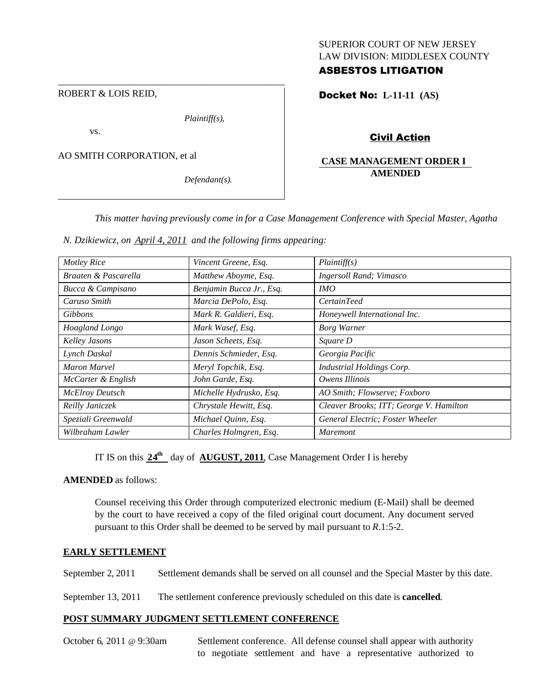## SUPERIOR COURT OF NEW JERSEY LAW DIVISION: MIDDLESEX COUNTY

## ASBESTOS LITIGATION

ROBERT & LOIS REID,

*Plaintiff(s),*

\_\_\_\_\_\_\_\_\_\_\_\_\_\_\_\_\_\_\_\_\_\_\_\_\_\_\_\_\_\_\_\_\_\_\_\_\_\_\_\_\_\_\_\_\_\_\_

vs.

AO SMITH CORPORATION, et al

*Defendant(s).*

Docket No: **L-11-11 (AS)**

Civil Action

## **CASE MANAGEMENT ORDER I AMENDED**

*This matter having previously come in for a Case Management Conference with Special Master, Agatha*

*N. Dzikiewicz, on April 4, 2011 and the following firms appearing:*

| <b>Motley Rice</b>     | Vincent Greene, Esq.     | Plaintiff(s)                            |
|------------------------|--------------------------|-----------------------------------------|
| Braaten & Pascarella   | Matthew Aboyme, Esq.     | <b>Ingersoll Rand</b> ; Vimasco         |
| Bucca & Campisano      | Benjamin Bucca Jr., Esq. | IMO                                     |
| Caruso Smith           | Marcia DePolo, Esq.      | <i>CertainTeed</i>                      |
| <b>Gibbons</b>         | Mark R. Galdieri, Esq.   | Honeywell International Inc.            |
| Hoagland Longo         | Mark Wasef, Esq.         | <b>Borg Warner</b>                      |
| Kelley Jasons          | Jason Scheets, Esq.      | Square D                                |
| Lynch Daskal           | Dennis Schmieder, Esq.   | Georgia Pacific                         |
| Maron Marvel           | Meryl Topchik, Esq.      | <b>Industrial Holdings Corp.</b>        |
| McCarter & English     | John Garde, Esq.         | Owens Illinois                          |
| <b>McElroy Deutsch</b> | Michelle Hydrusko, Esq.  | AO Smith; Flowserve; Foxboro            |
| Reilly Janiczek        | Chrystale Hewitt, Esq.   | Cleaver Brooks; ITT; George V. Hamilton |
| Speziali Greenwald     | Michael Quinn, Esq.      | General Electric; Foster Wheeler        |
| Wilbraham Lawler       | Charles Holmgren, Esq.   | <i>Maremont</i>                         |

IT IS on this  $24^{\text{th}}$  day of **AUGUST, 2011**, Case Management Order I is hereby

## **AMENDED** as follows:

Counsel receiving this Order through computerized electronic medium (E-Mail) shall be deemed by the court to have received a copy of the filed original court document. Any document served pursuant to this Order shall be deemed to be served by mail pursuant to *R*.1:5-2.

## **EARLY SETTLEMENT**

September 2, 2011 Settlement demands shall be served on all counsel and the Special Master by this date.

September 13, 2011 The settlement conference previously scheduled on this date is **cancelled**.

## **POST SUMMARY JUDGMENT SETTLEMENT CONFERENCE**

October 6, 2011 @ 9:30am Settlement conference. All defense counsel shall appear with authority to negotiate settlement and have a representative authorized to